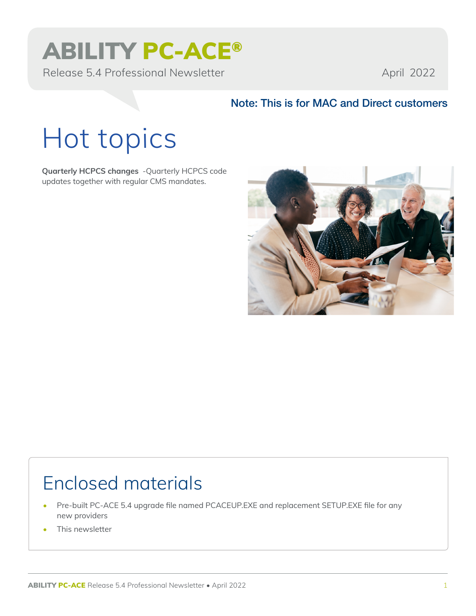# ABILITY PC-ACE®

Release 5.4 Professional Newsletter April 2022

### Note: This is for MAC and Direct customers

# Hot topics

**Quarterly HCPCS changes** -Quarterly HCPCS code updates together with regular CMS mandates.



### Enclosed materials

- Pre-built PC-ACE 5.4 upgrade file named PCACEUP.EXE and replacement SETUP.EXE file for any new providers
- This newsletter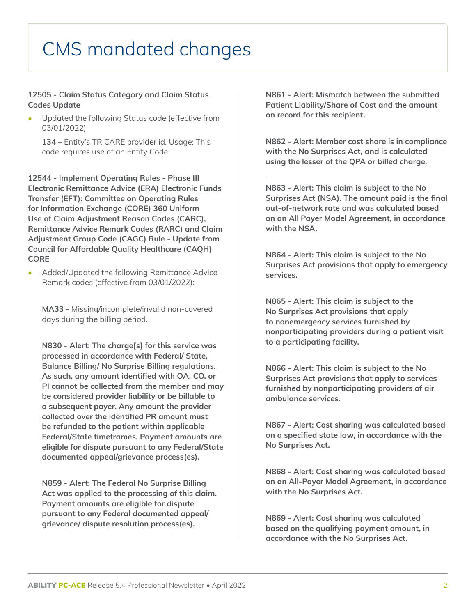## CMS mandated changes

#### **12505 - Claim Status Category and Claim Status Codes Update**

• Updated the following Status code (effective from 03/01/2022):

**134 –** Entity's TRICARE provider id. Usage: This code requires use of an Entity Code.

**12544 - Implement Operating Rules - Phase III Electronic Remittance Advice (ERA) Electronic Funds Transfer (EFT): Committee on Operating Rules for Information Exchange (CORE) 360 Uniform Use of Claim Adjustment Reason Codes (CARC), Remittance Advice Remark Codes (RARC) and Claim Adjustment Group Code (CAGC) Rule - Update from Council for Affordable Quality Healthcare (CAQH) CORE**

• Added/Updated the following Remittance Advice Remark codes (effective from 03/01/2022):

**MA33 -** Missing/incomplete/invalid non-covered days during the billing period.

**N830 - Alert: The charge[s] for this service was processed in accordance with Federal/ State, Balance Billing/ No Surprise Billing regulations. As such, any amount identified with OA, CO, or PI cannot be collected from the member and may be considered provider liability or be billable to a subsequent payer. Any amount the provider collected over the identified PR amount must be refunded to the patient within applicable Federal/State timeframes. Payment amounts are eligible for dispute pursuant to any Federal/State documented appeal/grievance process(es).**

**N859 - Alert: The Federal No Surprise Billing Act was applied to the processing of this claim. Payment amounts are eligible for dispute pursuant to any Federal documented appeal/ grievance/ dispute resolution process(es).**

**N861 - Alert: Mismatch between the submitted Patient Liability/Share of Cost and the amount on record for this recipient.**

**N862 - Alert: Member cost share is in compliance with the No Surprises Act, and is calculated using the lesser of the QPA or billed charge.**

.

**N863 - Alert: This claim is subject to the No Surprises Act (NSA). The amount paid is the final out-of-network rate and was calculated based on an All Payer Model Agreement, in accordance with the NSA.**

**N864 - Alert: This claim is subject to the No Surprises Act provisions that apply to emergency services.**

**N865 - Alert: This claim is subject to the No Surprises Act provisions that apply to nonemergency services furnished by nonparticipating providers during a patient visit to a participating facility.**

**N866 - Alert: This claim is subject to the No Surprises Act provisions that apply to services furnished by nonparticipating providers of air ambulance services.**

**N867 - Alert: Cost sharing was calculated based on a specified state law, in accordance with the No Surprises Act.**

**N868 - Alert: Cost sharing was calculated based on an All-Payer Model Agreement, in accordance with the No Surprises Act.**

**N869 - Alert: Cost sharing was calculated based on the qualifying payment amount, in accordance with the No Surprises Act.**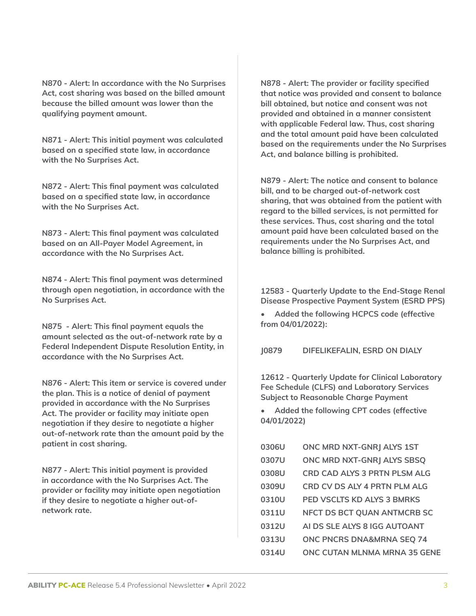**N870 - Alert: In accordance with the No Surprises Act, cost sharing was based on the billed amount because the billed amount was lower than the qualifying payment amount.**

**N871 - Alert: This initial payment was calculated based on a specified state law, in accordance with the No Surprises Act.**

**N872 - Alert: This final payment was calculated based on a specified state law, in accordance with the No Surprises Act.**

**N873 - Alert: This final payment was calculated based on an All-Payer Model Agreement, in accordance with the No Surprises Act.**

**N874 - Alert: This final payment was determined through open negotiation, in accordance with the No Surprises Act.**

**N875 - Alert: This final payment equals the amount selected as the out-of-network rate by a Federal Independent Dispute Resolution Entity, in accordance with the No Surprises Act.**

**N876 - Alert: This item or service is covered under the plan. This is a notice of denial of payment provided in accordance with the No Surprises Act. The provider or facility may initiate open negotiation if they desire to negotiate a higher out-of-network rate than the amount paid by the patient in cost sharing.**

**N877 - Alert: This initial payment is provided in accordance with the No Surprises Act. The provider or facility may initiate open negotiation if they desire to negotiate a higher out-ofnetwork rate.**

**N878 - Alert: The provider or facility specified that notice was provided and consent to balance bill obtained, but notice and consent was not provided and obtained in a manner consistent with applicable Federal law. Thus, cost sharing and the total amount paid have been calculated based on the requirements under the No Surprises Act, and balance billing is prohibited.**

**N879 - Alert: The notice and consent to balance bill, and to be charged out-of-network cost sharing, that was obtained from the patient with regard to the billed services, is not permitted for these services. Thus, cost sharing and the total amount paid have been calculated based on the requirements under the No Surprises Act, and balance billing is prohibited.**

**12583 - Quarterly Update to the End-Stage Renal Disease Prospective Payment System (ESRD PPS)**

**• Added the following HCPCS code (effective from 04/01/2022):**

**J0879 DIFELIKEFALIN, ESRD ON DIALY**

**12612 - Quarterly Update for Clinical Laboratory Fee Schedule (CLFS) and Laboratory Services Subject to Reasonable Charge Payment**

**• Added the following CPT codes (effective 04/01/2022)**

| 0306U | ONC MRD NXT-GNRJ ALYS 1ST            |
|-------|--------------------------------------|
| 0307U | ONC MRD NXT-GNRJ ALYS SBSQ           |
| 0308U | <b>CRD CAD ALYS 3 PRTN PLSM ALG</b>  |
| 0309U | <b>CRD CV DS ALY 4 PRTN PLM ALG</b>  |
| 0310U | <b>PED VSCLTS KD ALYS 3 BMRKS</b>    |
| 0311U | NFCT DS BCT QUAN ANTMCRB SC          |
| 0312U | AI DS SLE ALYS 8 IGG AUTOANT         |
| 0313U | <b>ONC PNCRS DNA&amp;MRNA SEQ 74</b> |
| 0314U | ONC CUTAN MLNMA MRNA 35 GENE         |